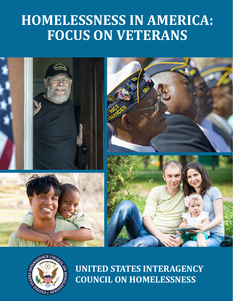# **Homelessness in America: Focus on Veterans**





**United States Interagency Council on Homelessness**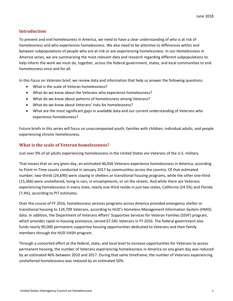### **Introduction**

To prevent and end homelessness in America, we need to have a clear understanding of who is at risk of homelessness and who experiences homelessness. We also need to be attentive to differences within and between subpopulations of people who are at-risk or are experiencing homelessness. In our *Homelessness in America* series, we are summarizing the most relevant data and research regarding different subpopulations to help inform the work we must do, together, across the federal government, states, and local communities to end homelessness once and for all.

In this *Focus on Veterans* brief, we review data and information that help us answer the following questions:

- What is the scale of Veteran homelessness?
- What do we know about the Veterans who experience homelessness?
- What do we know about patterns of homelessness among Veterans?
- What do we know about Veterans' risks for homelessness?
- What are the most significant gaps in available data and our current understanding of Veterans who experience homelessness?

Future briefs in this series will focus on unaccompanied youth, families with children, individual adults, and people experiencing chronic homelessness.

#### **What is the scale of Veteran homelessness?**

Just over 9% of all adults experiencing homelessness in the United States are Veterans of the U.S. military.

That means that on any given day, an estimated 40,056 Veterans experience homelessness in America, according to Point-in-Time counts conducted in January 2017 by communities across the country. Of that estimated number, two-thirds (24,690) were staying in shelters or transitional housing programs, while the other one-third (15,366) were unsheltered, living in cars, in encampments, or on the streets. And while there are Veterans experiencing homelessness in every state, nearly one-third reside in just two states, California (24.5%) and Florida (7.4%), according to PIT estimates.

Over the course of FY 2016, homelessness services programs across America provided emergency shelter or transitional housing to 124,709 Veterans, according to HUD's Homeless Management Information System (HMIS) data. In addition, the Department of Veterans Affairs' Supportive Services for Veteran Families (SSVF) program, which provides rapid re-housing assistance, served 67,581 Veterans in FY 2016. The federal government also funds nearly 90,000 permanent supportive housing opportunities dedicated to Veterans and their family members through the HUD-VASH program.

Through a concerted effort at the federal, state, and local level to increase opportunities for Veterans to access permanent housing, the number of Veterans experiencing homelessness in America on any given day was reduced by an estimated 46% between 2010 and 2017. During that same timeframe, the number of Veterans experiencing unsheltered homelessness was reduced by an estimated 50%.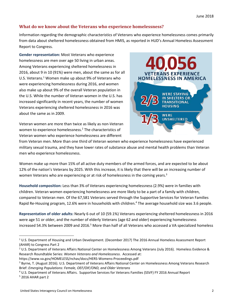### **What do we know about the Veterans who experience homelessness?**

Information regarding the demographic characteristics of Veterans who experience homelessness comes primarily from data about sheltered homelessness obtained from HMIS, as reported in HUD's Annual Homeless Assessment Report to Congress.

**Gender representation:** Most Veterans who experience homelessness are men over age 50 living in urban areas. Among Veterans experiencing sheltered homelessness in 2016, about 9 in 10 (91%) were men, about the same as for all U.S. Veterans.<sup>1</sup> Women make up about 9% of Veterans who were experiencing homelessness during 2016, and women also make up about 9% of the overall Veteran population in the U.S. While the number of Veteran women in the U.S. has increased significantly in recent years, the number of women Veterans experiencing sheltered homelessness in 2016 was about the same as in 2009.

Veteran women are more than twice as likely as non-Veteran women to experience homelessness.<sup>2</sup> The characteristics of Veteran women who experience homelessness are different



from Veteran men. More than one third of Veteran women who experience homelessness have experienced military sexual trauma, and they have lower rates of substance abuse and mental health problems than Veteran men who experience homelessness.

Women make up more than 15% of all active duty members of the armed forces, and are expected to be about 12% of the nation's Veterans by 2025. With this increase, it is likely that there will be an increasing number of women Veterans who are experiencing or at risk of homelessness in the coming years.<sup>3</sup>

**Household composition:** Less than 3% of Veterans experiencing homelessness (2.9%) were in families with children. Veteran women experiencing homelessness are more likely to be a part of a family with children, compared to Veteran men. Of the 67,581 Veterans served through the Supportive Services for Veteran Families Rapid Re-Housing program, 12.6% were in households with children.<sup>4</sup> The average household size was 3.6 people.

**Representation of older adults:** Nearly 6 out of 10 (59.1%) Veterans experiencing sheltered homelessness in 2016 were age 51 or older, and the number of elderly Veterans (age 62 and older) experiencing homelessness increased 54.3% between 2009 and 2016.<sup>5</sup> More than half of all Veterans who accessed a VA specialized homeless

 <sup>1</sup> U.S. Department of Housing and Urban Development. (December 2017) The 2016 Annual Homeless Assessment Report (AHAR) to Congress Part 2

<sup>2</sup> U.S. Department of Veterans Affairs National Center on Homelessness Among Veterans (July 2016). Homeless Evidence & Research Roundtable Series: *Women Veterans and Homelessness*. Accessed at:

https://www.va.gov/HOMELESS/nchav/docs/HERS-Womens-Proceedings.pdf

<sup>&</sup>lt;sup>3</sup> Byrne, T. (August 2016). U.S. Department of Veterans Affairs National Center on Homelessness Among Veterans Research Brief: *Emerging Populations: Female, OEF/OIF/OND, and Older Veterans*

<sup>4</sup> U.S. Department of Veterans Affairs. Supportive Services for Veterans Families (SSVF) FY 2016 Annual Report  $5$  2016 AHAR part 2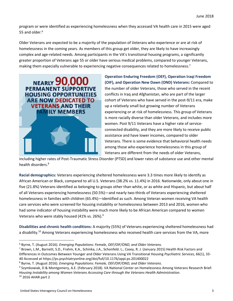program or were identified as experiencing homelessness when they accessed VA health care in 2015 were aged 55 and older. $6$ 

Older Veterans are expected to be a majority of the population of Veterans who experience or are at risk of homelessness in the coming years. As members of this group get older, they are likely to have increasingly complex and age-related needs. Among participants in the VA's transitional housing programs, a significantly greater proportion of Veterans age 55 or older have serious medical problems, compared to younger Veterans, making them especially vulnerable to experiencing negative consequences related to homelessness.<sup>7</sup>



**Operation Enduring Freedom (OEF), Operation Iraqi Freedom (OIF), and Operation New Dawn (OND) Veterans:** Compared to the number of older Veterans, those who served in the recent conflicts in Iraq and Afghanistan, who are part of the larger cohort of Veterans who have served in the post-9/11 era, make up a relatively small but growing number of Veterans experiencing or at risk of homelessness. This group of Veterans is more racially diverse than older Veterans, and includes more women. Post 9/11 Veterans have a higher rate of serviceconnected disability, and they are more likely to receive public assistance and have lower incomes, compared to older Veterans. There is some evidence that behavioral health needs among those who experience homelessness in this group of Veterans are different from the needs of older Veterans,

including higher rates of Post-Traumatic Stress Disorder (PTSD) and lower rates of substance use and other mental health disorders.<sup>8</sup>

**Racial demographics:** Veterans experiencing sheltered homelessness were 3.3 times more likely to identify as African American or Black, compared to all U.S. Veterans (38.2% vs. 11.4%) in 2016. Nationwide, only about one in five (21.8%) Veterans identified as belonging to groups other than white, or as white and Hispanic, but about half of all Veterans experiencing homelessness (50.5%)—and nearly two-thirds of Veterans experiencing sheltered homelessness in families with children (65.4%)—identified as such. Among Veteran women receiving VA health care services who were screened for housing instability or homelessness between 2013 and 2016, women who had some indicator of housing instability were much more likely to be African American compared to women Veterans who were stably housed (41% vs. 26%).9

**Disabilities and chronic health conditions:** A majority (55%) of Veterans experiencing sheltered homelessness had a disability.<sup>10</sup> Among Veterans experiencing homelessness who received health care services from the VA, more

<sup>9</sup> Szymkowiak, D & Montgomery, A.E. (February 2018). VA National Center on Homelessness Among Veterans Research Brief: *Housing Instability among Women Veterans Accessing Care through the Veterans Health Administration*.  $10$  2016 AHAR part 2

 <sup>6</sup> Byrne, T. (August 2016). *Emerging Populations: Female, OEF/OIF/OND, and Older Veterans.*

<sup>7</sup> Brown, L.M., Barnett, S.D., Frahm, K.A., Schinka, J.A., Schonfeld. L., Casey, R. J. (January 2015) Health Risk Factors and Differences in Outcomes Between Younger and Older Veterans Using VA Transitional Housing *Psychiatric Services,* 66(1), 33- 40 Accessed at https://ps.psychiatryonline.org/doi/full/10.1176/appi.ps.201400022

<sup>8</sup> Byrne, T. (August 2016). *Emerging Populations: Female, OEF/OIF/OND, and Older Veterans*.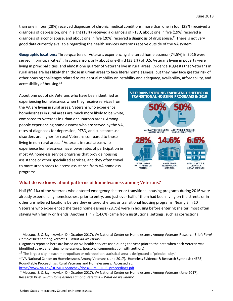than one in four (28%) received diagnoses of chronic medical conditions, more than one in four (28%) received a diagnosis of depression, one in eight (13%) received a diagnosis of PTSD, about one in five (19%) received a diagnosis of alcohol abuse, and about one in five (20%) received a diagnosis of drug abuse.<sup>11</sup> There is not very good data currently available regarding the health services Veterans receive outside of the VA system.

**Geographic locations:** Three-quarters of Veterans experiencing sheltered homelessness (74.5%) in 2016 were served in principal cities<sup>12</sup>. In comparison, only about one-third (33.1%) of U.S. Veterans living in poverty were living in principal cities, and almost one quarter of Veterans live in rural areas. Evidence suggests that Veterans in rural areas are less likely than those in urban areas to face literal homelessness, but they may face greater risk of other housing challenges related to residential mobility or instability and adequacy, availability, affordability, and accessibility of housing.<sup>13</sup>

About one out of six Veterans who have been identified as experiencing homelessness when they receive services from the VA are living in rural areas. Veterans who experience homelessness in rural areas are much more likely to be white, compared to Veterans in urban or suburban areas. Among people experiencing homelessness who are served by the VA, rates of diagnoses for depression, PTSD, and substance use disorders are higher for rural Veterans compared to those living in non-rural areas. $14$  Veterans in rural areas who experience homelessness have lower rates of participation in most VA homeless service programs that provide housing assistance or other specialized services, and they often travel to more urban areas to access assistance from VA homeless programs.



## **What do we know about patterns of homelessness among Veterans?**

Half (50.1%) of the Veterans who entered emergency shelter or transitional housing programs during 2016 were already experiencing homelessness prior to entry, and just over half of them had been living on the streets or in other unsheltered locations before they entered shelters or transitional housing programs. Nearly 3 in 10 Veterans who experienced sheltered homelessness (28.7%) were in housing before entering shelter, most often staying with family or friends. Another 1 in 7 (14.6%) came from institutional settings, such as correctional

[https://www.va.gov/HOMELESS/nchav/docs/Rural\\_HERS\\_proceedings.pdf](https://www.va.gov/HOMELESS/nchav/docs/Rural_HERS_proceedings.pdf)

 <sup>11</sup> Metraux, S. & Szymkowiak, D. (October 2017). VA National Center on Homelessness Among Veterans Research Brief: *Rural Homelessness among Veterans – What do we know?*

Diagnoses reported here are based on VA health services used during the year prior to the date when each Veteran was identified as experiencing homelessness. (personal communication with authors)

<sup>12</sup> The largest city in each metropolitan or micropolitan statistical area is designated a "principal city."

<sup>&</sup>lt;sup>13</sup> VA National Center on Homelessness Among Veterans (June 2017). Homeless Evidence & Research Synthesis (HERS) Roundtable Proceedings: Rural Veterans and Homelessness. Accessed at:

<sup>&</sup>lt;sup>14</sup> Metraux, S. & Szymkowiak, D. (October 2017). VA National Center on Homelessness Among Veterans (June 2017). Research Brief: *Rural Homelessness among Veterans – What do we know?*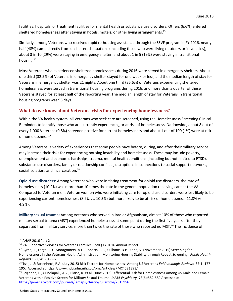facilities, hospitals, or treatment facilities for mental health or substance use disorders. Others (6.6%) entered sheltered homelessness after staying in hotels, motels, or other living arrangements.<sup>15</sup>

Similarly, among Veterans who received rapid re-housing assistance through the SSVF program in FY 2016, nearly half (48%) came directly from unsheltered situations (including those who were living outdoors or in vehicles), about 3 in 10 (29%) were staying in emergency shelter, and about 1 in 5 (19%) were staying in transitional housing.16

Most Veterans who experienced sheltered homelessness during 2016 were served in emergency shelters. About one third (32.5%) of Veterans in emergency shelter stayed for one week or less, and the median length of stay for Veterans in emergency shelter was 21 nights. About one third (36.6%) of Veterans experiencing sheltered homelessness were served in transitional housing programs during 2016, and more than a quarter of these Veterans stayed for at least half of the reporting year. The median length of stay for Veterans in transitional housing programs was 96 days.

## **What do we know about Veterans' risks for experiencing homelessness?**

Within the VA health system, all Veterans who seek care are screened, using the Homelessness Screening Clinical Reminder, to identify those who are currently experiencing or at risk of homelessness. Nationwide, about 8 out of every 1,000 Veterans (0.8%) screened positive for current homelessness and about 1 out of 100 (1%) were at risk of homelessness.17

Among Veterans, a variety of experiences that some people have before, during, and after their military service may increase their risks for experiencing housing instability and homelessness. These may include poverty, unemployment and economic hardships, trauma, mental health conditions (including but not limited to PTSD), substance use disorders, family or relationship conflicts, disruptions in connections to social support networks, social isolation, and incarceration.<sup>18</sup>

**Opioid use disorders:** Among Veterans who were initiating treatment for opioid use disorders, the rate of homelessness (10.2%) was more than 10 times the rate in the general population receiving care at the VA. Compared to Veteran men, Veteran women who were initiating care for opioid use disorders were less likely to be experiencing current homelessness (8.9% vs. 10.3%) but more likely to be at risk of homelessness (11.8% vs. 4.9%).

**Military sexual trauma:** Among Veterans who served in Iraq or Afghanistan, almost 10% of those who reported military sexual trauma (MST) experienced homelessness at some point during the first five years after they separated from military service, more than twice the rate of those who reported no MST.<sup>19</sup> The incidence of

 <sup>15</sup> AHAR 2016 Part 2

<sup>16</sup> VA Supportive Services for Veterans Families (SSVF) FY 2016 Annual Report

<sup>17</sup> Byrne, T., Fargo, J.D., Montgomery, A.E., Roberts, C.B., Culhane, D.P., Kane, V. (November 2015) Screening for Homelessness in the Veterans Health Administration: Monitoring Housing Stability through Repeat Screening. *Public Health Reports* 130(6): 684-692

<sup>18</sup> Tsai, J. & Rosenheck, R.A. (July 2015) Risk Factors for Homelessness Among US Veterans *Epidemiologic Reviews.* 37(1) 177- 195. Accessed at https://www.ncbi.nlm.nih.gov/pmc/articles/PMC4521393/

<sup>&</sup>lt;sup>19</sup> Brignone, E., Gundlapalli, A.V., Blaise, R. et al. (June 2016) Differential Risk for Homelessness Among US Male and Female Veterans with a Positive Screen for Military Sexual Trauma. *JAMA Psychiatry.* 73(6):582-589 Accessed at <https://jamanetwork.com/journals/jamapsychiatry/fullarticle/2515956>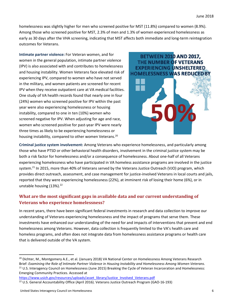homelessness was slightly higher for men who screened positive for MST (11.8%) compared to women (8.9%). Among those who screened positive for MST, 2.3% of men and 1.3% of women experienced homelessness as early as 30 days after the VHA screening, indicating that MST affects both immediate and long-term reintegration outcomes for Veterans.

**Intimate partner violence:** For Veteran women, and for women in the general population, intimate partner violence (IPV) is also associated with and contributes to homelessness and housing instability. Women Veterans face elevated risk of experiencing IPV, compared to women who have not served in the military, and women patients are screened for recent IPV when they receive outpatient care at VA medical facilities. One study of VA health records found that nearly one in four (24%) women who screened positive for IPV within the past year were also experiencing homelessness or housing instability, compared to one in ten (10%) women who screened negative for IPV. When adjusting for age and race, women who screened positive for past-year IPV were nearly three times as likely to be experiencing homelessness or housing instability, compared to other women Veterans.20



**Criminal justice system involvement:** Among Veterans who experience homelessness, and particularly among those who have PTSD or other behavioral health disorders, involvement in the criminal justice system may be both a risk factor for homelessness and/or a consequence of homelessness. About one-half of all Veterans experiencing homelessness who have participated in VA homeless assistance programs are involved in the justice system.<sup>21</sup> In 2015, more than 40% of Veterans served by the Veterans Justice Outreach (VJO) program, which provides direct outreach, assessment, and case management for justice-involved Veterans in local courts and jails, reported that they were experiencing homelessness (22%), at imminent risk of losing their home (6%), or in unstable housing (13%).<sup>22</sup>

## **What are the most significant gaps in available data and our current understanding of Veterans who experience homelessness?**

In recent years, there have been significant federal investments in research and data collection to improve our understanding of Veterans experiencing homelessness and the impact of programs that serve them. These investments have enhanced our understanding of the need for and impacts of interventions that prevent and end homelessness among Veterans. However, data collection is frequently limited to the VA's health care and homeless programs, and often does not integrate data from homelessness assistance programs or health care that is delivered outside of the VA system.

[https://www.usich.gov/resources/uploads/asset\\_library/Justice\\_Involved\\_Veterans.pdf](https://www.usich.gov/resources/uploads/asset_library/Justice_Involved_Veterans.pdf) <sup>22</sup> U.S. General Accountability Office (April 2016). Veterans Justice Outreach Program (GAO-16-193)

<sup>&</sup>lt;sup>20</sup> Dichter, M., Montgomery A.E., et al. (January 2018) VA National Center on Homelessness Among Veterans Research Brief: *Examining the Role of Intimate Partner Violence in Housing Instability and Homelessness Among Women Veterans*. <sup>21</sup> U.S. Interagency Council on Homelessness (June 2015) Breaking the Cycle of Veteran Incarceration and Homelessness: Emerging Community Practices. Accessed at